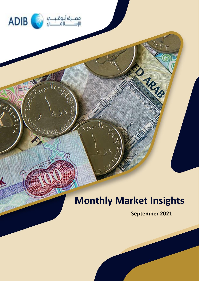

 $\Lambda$ 

**ALAN ARAN** 

ŗ,  $\mathcal{A}_{\mathcal{S}}$ 

# **Monthly Market Insights**

**September 2021**

ED ARIB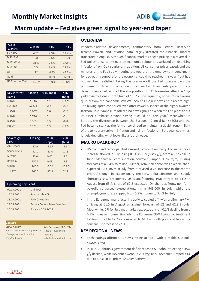

### **Macro update – Fed gives green signal to year-end taper**

| Asset<br><b>Classes</b>  | Closing | <b>MTD</b>       | YTD               |
|--------------------------|---------|------------------|-------------------|
| <b>S&amp;P 500</b>       | 4523    | 2.9%             | 22.2%             |
| <b>MSCIEM</b>            | 1285    | 0.6%             | $-1.5%$           |
| <b>MSCI World</b>        | 3147    | 2.5%             | 17.8%             |
| <b>MSCI GCC</b>          | 706     | 3.4%             | 28.3%             |
| Oil                      | 72      | $-4.9%$          | 43.2%             |
| Gold                     | 1810    | $-0.2%$          | $-6.8%$           |
| <b>US Treasury Yield</b> | 1.309   | 9 <sub>bps</sub> | 40 <sub>bps</sub> |

| <b>Key Interest</b><br>Rates | Closing  | MTD (bps) | <b>YTD</b><br>(bps) |
|------------------------------|----------|-----------|---------------------|
| <b>LIBOR</b>                 | 0.120    | 0.2       | $-11.7$             |
| <b>EURIBOR</b>               | $-0.548$ | $-0.4$    | $-0.2$              |
| <b>TIBOR</b>                 | 0.057    | 0.0       | $-2.2$              |
| <b>SIBOR</b>                 | 0.796    | 0.1       | $-2.1$              |
| <b>EIBOR</b>                 | 0.362    | 5.5       | $-8.8$              |
| <b>HIBOR</b>                 | 0.151    | 0.3       | $-17.9$             |

| Sovereign<br><b>CDS</b> | Closing | <b>MTD</b><br>(bps) | YTD<br>(bps) |
|-------------------------|---------|---------------------|--------------|
| Abu Dhabi               | 40.9    | $-1.65$             | 2.6          |
| Saudi Arabia            | 51.1    | $-5.40$             | $-14.5$      |
| Kuwait                  | 50.0    | 0.02                | 3.1          |
| <b>Bahrain</b>          | 250.3   | 0.09                | 3.8          |
| Oman                    | 245.3   | $-5.52$             | $-122.0$     |
| Turkey                  | 366.5   | $-17.4$             | 62.7         |

| <b>Upcoming Key Events</b> |                                    |  |  |  |  |
|----------------------------|------------------------------------|--|--|--|--|
| 09.09.2021                 | Dubai CPI                          |  |  |  |  |
| 15.09.2021                 | Saudi Arabia CPI                   |  |  |  |  |
| 21.09.2021                 | <b>FOMC Meeting</b>                |  |  |  |  |
| 23.09.2021                 | <b>Turkey Central Bank Meeting</b> |  |  |  |  |
| 30.09.2021                 | Bahrain GDP 2021                   |  |  |  |  |

| <b>Contacts</b>                  |                          |
|----------------------------------|--------------------------|
| Saif Al Alkeem                   | Kais Dachraoui, PhD, FRM |
| Head of Priority Banking, Wealth | Head of Investment       |
| Management and Liabilities       | Advisory                 |
| saif@adib.com                    | kais.dachraoui@adib.com  |
|                                  |                          |

### **OVERVIEW**

Pandemic-related developments, commentary from Federal Reserve's Jerome Powell, and inflation data largely dictated the financial market trajectory in August. Although financial markets began pricing in a reversal in Fed policy, uncertainty over an economic rebound resurfaced amidst rising infections from Delta variant. In addition, US consumer prices eased, and the minutes of the Fed's July meeting showed that the employment benchmark for decreasing support for the economy "could be reached this year," but had not yet been satisfied, taking the pressure off the Fed to scale back the purchase of fixed income securities earlier than anticipated. These developments helped stall the sharp sell-off in US Treasuries after the 10yr yield rose to a one-month high of 1.36%. Consequently, hopes of recovering quickly from the pandemic saw Wall Street's main indexes hit a record high. The buying-spree continued even after Powell's speech at the highly-awaited Jackson Hole Symposium offered no new signals on when the Fed plans to cut its asset purchases beyond saying it could be "this year." Meanwhile, in Europe, the divergence between the European Central Bank (ECB) and the Fed became stark as the former continued to maintain a dovish tone in light of the temporary spike in inflation and rising infections in European countries, largely depicting what looks like a fourth wave.

### **MACRO BACKDROP**

- US macro indicators painted a mixed picture of recovery. Consumer price increase slowed in July, rising 0.3% in July (5.4% y/y) from a 0.9% rise in June. Meanwhile, core inflation however jumped 0.3% m/m, missing forecasts of a 0.4% m/m rise. Further, retail sales drop was a worse-thanexpected 1.1% m/m in July from a revised 0.7% increase in the month prior. Although in expansionary territory, delta concerns and supply shortages saw preliminary US Manufacturing PMI retreat to 61.2 in August from 63.4, short of 62.8 expected. On the jobs front, non-farm payrolls surpassed expectations, rising 943,000 in July, while the unemployment rate slipped from 5.9% in June to 5.4% for July.
- In the Eurozone, manufacturing activity cooled off, with preliminary PMI arriving at 61.5 in August as against forecast of 62 and 62.8 in July. Meanwhile, CPI for July met market expectations of -0.1% decline from a 0.3% increase in June. Similarly, the Eurozone ZEW Economic Sentiment for August fell to 42.7 as compared to 61.2 a month prior and below the consensus forecast of 72.0.

### **KEY REGIONAL NEWS**

- Fitch Ratings affirmed Turkey's rating at 'BB-' with a Stable Outlook. *[Source: Fitch](https://www.fitchratings.com/research/sovereigns/fitch-affirms-turkey-at-bb-outlook-stable-13-08-2021)*
- In 1H21, Bahrain's government deficit reached \$1.38bn, reflecting a 35% y/y decline, while Revenues were up 23%y/y, as oil revenues jumped 33% due to a rise in oil prices. *Source[: Reuters](https://www.reuters.com/world/middle-east/bahrain-government-deficit-down-35-h1-2021-ministry-2021-08-16/)*

Page | 2<br>**Confidential**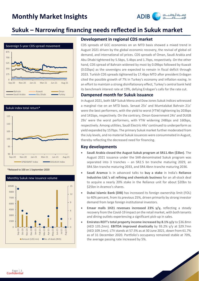

## **Sukuk – Narrowing financing needs reflected in Sukuk market**









#### **Development in regional CDS market**

CDS spreads of GCC economies on an MTD basis showed a mixed trend in August 2021 driven by the global economic recovery, the revival of global oil demand, and international oil prices. CDS spreads of Oman, Saudi Arabia and Abu Dhabi tightened by 5.5bps, 5.4bps and 1.7bps, respectively. On the other hand, CDS spread of Bahrain widened by most by 0.09bps followed by Kuwait (0.02bps) as the sovereigns are expected to remain in fiscal deficit through 2023. Turkish CDS spreads tightened by 17.4bps MTD after president Erdogan cited the possible growth of 7% in Turkey's economy and inflation easing. In an effort to maintain a strong disinflationary effect, Turkey's central bank held its benchmark interest rate at 19%, defying Erdogan's calls for the rate cut.

### **Dampened month for Sukuk issuance**

In August 2021, both S&P Sukuk Mena and Dow Jones Sukuk indices witnessed a marginal rise on an MTD basis. Senaat 25s' and Mumtalakat Bahrain 21s' were the best performers, with the yield to worst (YTW) tightening by 203bps and 141bps, respectively. On the contrary, Oman Government 24s' and DUGB 29s' were the worst performers, with YTW widening 248bps and 160bps, respectively. Among utilities, Saudi Electric 44s' continued to underperform as yield expanded by 157bps. The primary Sukuk market further moderated from the July levels, and no material Sukuk issuances were consummated in August, thereby reflecting the decreased need for financing.

### **Key developments**

- **Saudi Arabia closed the August Sukuk program at SR11.4bn (\$3bn)**. The August 2021 issuance under the SAR-denominated Sukuk program was separated into 3 tranches – an SR2.5 bn tranche maturing 2029, an SR4.5bn tranche maturing 2033, and SR4.4bnn tranche maturing 2036.
- **Saudi Aramco** is in advanced talks to **buy a stake** in India's **Reliance Industries Ltd.'s oil refining and chemicals business** for an all-stock deal to acquire a nearly 20% stake in the Reliance unit for about \$20bn to \$25bn in Aramco's shares.
- **Dubai Islamic Bank (DIB)** has increased its foreign ownership limit (FOL) to 40% percent, from its previous 25%, driven primarily by strong investor demand from large foreign institutional investors.
- **Emaar malls 1H21 revenues increased 23% y/y,** reflecting a steady recovery from the Covid-19 impact on the retail market, with both tenants and dining outlets experiencing a significant pick-up in sales.
- **Emirates REIT's total property income increased by 8.1% y/y** to \$36.8mn (AED 135.2mn). **EBITDA improved drastically** by 93.2% y/y at \$29.7mn (AED 109.1mn). LTV stands at 57.5% as at 30 June 2021, down from 61.7% as of 31 December 2020. Portfolio's occupancy remained stable at 70%, the average passing rate increased by 5%.

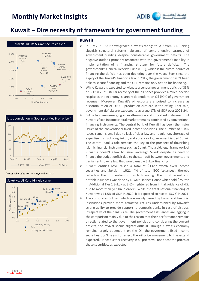

### **Kuwait – Dire necessity of framework for government funding**









#### **Kuwait**

- ➢ In July 2021, S&P downgraded Kuwait's ratings to 'A+' from 'AA-', citing sluggish structural reforms, absence of comprehensive strategy of government funding despite considerable government deficits. The negative outlook primarily resonates with the government's inability in implementation of a financing strategy for future deficits. The government's General Reserve Fund (GRF), which is the pivotal source of financing the deficit, has been depleting over the years. Ever since the expiry of the Kuwait's financing law in 2017, the government hasn't been able to secure financing and the GRF remains only option for financing.
- ➢ While Kuwait is expected to witness a central government deficit of 33% of GDP in 2021, stellar recovery of the oil prices provides a much-needed respite as the economy is largely dependent on Oil (90% of government revenue). Moreover, Kuwait's oil exports are poised to increase as discontinuation of OPEC+ production cuts are in the offing. That said, government deficits are expected to average 17% of GDP over 2021-24.
- Sukuk has been emerging as an alternative and important instrument but Kuwait's fixed income capital market remains dominated by conventional financing instruments. The central bank of Kuwait has been the major issuer of the conventional fixed income securities. The number of Sukuk issues remains small due to lack of clear law and regulation, shortage of expertise in structuring Sukuk, and absence of government issued Sukuk. The central bank's role remains the key to the prospect of flourishing Islamic financial instruments such as Sukuk. That said, legal framework of Kuwait's doesn't allow to issue Sovereign Sukuk despite its need to finance the budget deficit due to the standoff between governments and parliaments over a law that would enable Sukuk financing
- $\triangleright$  Kuwaiti entities have raised a total of \$3.4bn worth fixed income securities and Sukuk in 1H21 (4% of total GCC issuances), thereby reflecting the momentum for such financing. The most recent and notable issuances was done by Kuwait Finance House which sold \$750mn in Additional Tier 1 Sukuk at 3.6%, tightened from initial guidance of 4%, due to more than \$1.9bn in orders. While the total national financing of Kuwait was 11.5% of GDP in 2020, it is expected to rise to 13.7% in 2021.
- ➢ The corporates Sukuks, which are mainly issued by banks and financial institutions provide more attractive returns underpinned by Kuwait's strong ability to provide support to domestic banks in case of distress, irrespective of the bank's size. The government's issuances are lagging in the comparison mainly due to the reason that their performance remains directly related to the government policies and considering the current deficits, the revival seems slightly difficult. Though Kuwait's economy remains largely dependent on the Oil, the government fixed income securities don't seem to reflect the oil price movement to the extend expected. Hence further recovery in oil prices will not boost the prices of these securities, as expected.

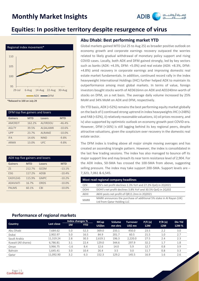

### **Equities: In positive territory despite resurgence of virus**



\*Rebased to 100 on July 29

| DFM top five gainers and losers |            |                 |            |  |  |  |
|---------------------------------|------------|-----------------|------------|--|--|--|
| <b>Gainers</b>                  | <b>MTD</b> | <b>Losers</b>   | <b>MTD</b> |  |  |  |
| <b>AMCREIT</b>                  | 162.2%     | <b>ALFIRDOU</b> | $-46.4%$   |  |  |  |
| <b>AGLTY</b>                    | 39.5%      | <b>ALSALAMK</b> | $-10.6%$   |  |  |  |
| <b>UPP</b>                      | 23.7%      | <b>ALRAMZ</b>   | $-10.0%$   |  |  |  |
| <b>IFA</b>                      | 14.6%      | <b>NIND</b>     | $-9.8%$    |  |  |  |
| <b>ARMX</b>                     | 13.0%      | UFC.            | $-9.8%$    |  |  |  |

| ADX top five gainers and losers |            |             |            |  |  |
|---------------------------------|------------|-------------|------------|--|--|
| <b>Gainers</b>                  | <b>MTD</b> | Losers      | <b>MTD</b> |  |  |
| <b>ZS</b>                       | 212.7%     | <b>GCEM</b> | $-13.1%$   |  |  |
| <b>ESG</b>                      | 117.2%     | <b>ADSB</b> | $-10.4%$   |  |  |
| <b>EASYLEAS</b>                 | 115.9%     | <b>GMPC</b> | $-10.2%$   |  |  |
| <b>ADAVIATI</b>                 | 16.7%      | <b>ORDS</b> | $-10.0%$   |  |  |
| <b>PALMS</b>                    | 60.1%      | <b>CBI</b>  | $-10.0%$   |  |  |

### **Abu Dhabi: Best performing market YTD**

Global markets gained MTD (Jul 25 to Aug 25) as broader positive outlook on economy growth and corporate earnings recovery outpaced the worries related to likely gradual withdrawal of monetary policy support and rising COVID cases. Locally, both ADX and DFM gained strongly, led by key sectors such as banks (ADX: +4.3%, DFM: +5.0%) and real estate (ADX: +8.3%, DFM: +4.8%) amid recovery in corporate earnings and improving domestic real estate market fundamentals. In addition, continued record rally in the index heavyweight International Holdings (IHC) further helped ADX to maintain its outperformance among most global markets. In terms of value, foreign investors bought stocks worth of AED616mn on ADX and AED240mn worth of stocks on DFM, on a net basis. The average daily volume increased by 25% MoM and 34% MoM on ADX and DFM, respectively.

On YTD basis, ADX (+52%) remains the best performing equity market globally on the back of i) continued strong uptrend in index heavyweights IHC (+248%) and FAB (+32%), ii) relatively reasonable valuations, iii) oil prices recovery, and iv) also supported by optimistic outlook on economy growth post COVID-era. However, DFM (+16%) is still lagging behind its key regional peers, despite attractive valuations, given the scepticism over recovery in the domestic real estate sector.

The DFM index is trading above all major simple moving averages and has created an ascending triangle pattern. However, the index is consolidated in the last few trading sessions. The index has also managed to bounce off its major support line and may breach its near term resistance level of 2,904. For the ADX index, 50-SMA has crossed the 100-SMA from above, suggesting selling pressure. The index may take support 200-SMA. Support levels are – 7,323, 7,061 & 6,545.

|             | Most read regional company headlines                                                              |  |  |  |  |
|-------------|---------------------------------------------------------------------------------------------------|--|--|--|--|
| <b>QISI</b> | QISI's net profit declines 1.3% YoY and 27.2% QoQ in 2Q2021                                       |  |  |  |  |
| <b>DOHI</b> | DOHI's net profit declines 3.8% YoY and 30.5% QoQ in 2Q202                                        |  |  |  |  |
| AKHI        | AKHI posts net profit of QR11.2mn in 2Q2021                                                       |  |  |  |  |
| <b>MARK</b> | MARK announces the purchase of additional 5% stake in Al Rayan (UK)<br>Ltd from Qatar Holding LLC |  |  |  |  |

### **Performance of regional markets**

|                     |            |        | Index changes % | <b>MCap</b>   | Volume  | Turnover. | P/E(x)     | P/B(x)     | <b>Div Yld</b> |
|---------------------|------------|--------|-----------------|---------------|---------|-----------|------------|------------|----------------|
| <b>Country</b>      | Last close | 1M     | <b>YTD</b>      | <b>US\$bn</b> | mn shrs | US\$ mn   | <b>12M</b> | <b>12M</b> | 12M %          |
| Abu Dhabi           | 7,684.62   | 5.0    | 52.3            | 369.0         | 233.1   | 450.0     | 23.5       | 2.2        | 3.0            |
| Dubai               | 2.902.97   | 5.0    | 16.5            | 84.9          | 201.7   | 60.5      | 21.5       | 1.0        | 2.7            |
| Saudi Arabia        | 11.319.24  | 2.8    | 30.3            | 2,619.1       | 196.3   | 2,220.0   | 27.5       | 2.4        | 2.3            |
| Kuwait (All shares) | 6,786.81   | 3.1    | 22.4            | 129.0         | 344.6   | 297.9     | 32.2       | 1.7        | 1.8            |
| Oman                | 3.966.75   | $-1.6$ | 8.4             | 12.6          | 14.0    | 5.9       | 12.7       | 0.8        | 3.9            |
| <b>Bahrain</b>      | 1.645.41   | 3.0    | 10.4            | 26.4          | 3.5     | 3.0       | 11.7       | 0.8        | 3.3            |
| Qatar               | 11.092.90  | 3.2    | 6.3             | 152.3         | 129.2   | 145.5     | 16.9       | 1.6        | 2.6            |

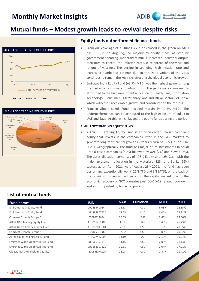

### **Mutual funds – Modest growth leads to revival despite risks**



\*\*Rebased to 100 on Jan 01, 2020



### **Equity funds outperformed finance funds**

- From our coverage of 31 funds, 22 funds closed in the green on MTD basis (Jul 25 to Aug 25), led majorly by equity funds, assisted by government spending, monetary stimulus, increased industrial output, measures to control the inflation rates, curb spread of the virus and rollout of vaccines. The decline in spending, high inflation rate and increasing number of patients due to the Delta variant of the virus continues to remain the key risks affecting the global economic growth.
- Emirates India Equity Fund (+3.7% MTD) was the highest gainer among the basket of our covered mutual funds. The performance was mainly attributed to the high investment allocation in Health Care, Information Technology, Consumer Discretionary and Industrial sectors of India, which witnessed accelerated growth and contributed to the returns.
- Franklin Global Sukuk Fund declined marginally (-0.2% MTD). The underperformance can be attributed to the high exposure of Sukuk in UAE and Saudi Arabia, which lagged the equity funds during the period.

#### **ALAHLI GCC TRADING EQUITY FUND**

• AlAhli GCC Trading Equity Fund is an open-ended Shariah-compliant equity that invests in the companies listed in the GCC markets to generate long-term capital growth (5-years return of 52.5% as on June 2021). Geographically, the fund has major of its investments in Saudi Arabia based companies (89%) followed by UAE (7%) and Kuwait (3%). The asset allocation comprises of ~98% Equity and ~2% Cash with the major investment allocation in the Materials (32%) and Banks (26%) sectors as on April 2021. As of August 25<sup>th</sup> 2021, the fund has been performing exceptionally well (~26% YTD and 3% MTD), on the back of the ongoing momentum witnessed in the capital market due to the economic recovery of GCC countries post COVID-19 related lockdowns and also supported by higher oil prices.

### **List of mutual funds**

| <b>Fund names</b>                 | <b>ISIN</b>  | <b>NAV</b> | <b>Currency</b> | <b>MTD</b> | <b>YTD</b> |
|-----------------------------------|--------------|------------|-----------------|------------|------------|
| Emirates India Equity Fund        | LU1654400644 | 14.13      | <b>USD</b>      | 6.08%      | 22.55%     |
| Emirates India Equity Fund        | LU1484867434 | 18.55      | <b>USD</b>      | 6.06%      | 25.31%     |
| Comgest Growth Europe S           | IE00B4ZJ4634 | 36.55      | EUR             | 3.60%      | 25.30%     |
| AlAhli GCC Trading Equity Fund    | AFB007482106 | 1.37       | <b>SAR</b>      | 3.40%      | 26.73%     |
| AlAhli North America Index Fund   | AFB007013901 | 7.98       | <b>USD</b>      | 3.16%      | 20.35%     |
| Comgest Growth Europe S           | IE00B3ZL9H82 | 32.32      | <b>USD</b>      | 3.09%      | 20.82%     |
| AlAhli Saudi Trading Equity Fund  | AFB007482007 | 14.19      | <b>SAR</b>      | 2.15%      | 30.34%     |
| Emirates World Opportunities Fund | LU1060357412 | 14.15      | <b>USD</b>      | 2.05%      | 21.13%     |
| Emirates World Opportunities Fund | LU1654397329 | 11.51      | <b>USD</b>      | 2.04%      | 17.21%     |
| Old Mutual Global Islamic Equity  | IE00BYMM2054 | 16.93      | <b>USD</b>      | 1.44%      | 21.71%     |

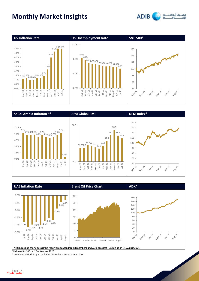

**ADIB** 





All figures and charts across the report are sourced from Bloomberg and ADIB research. Data is as on 31 August 2021

\*Rebased to 100 on 1 September 2020

\*\*Previous periods impacted by VAT introduction since July 2020